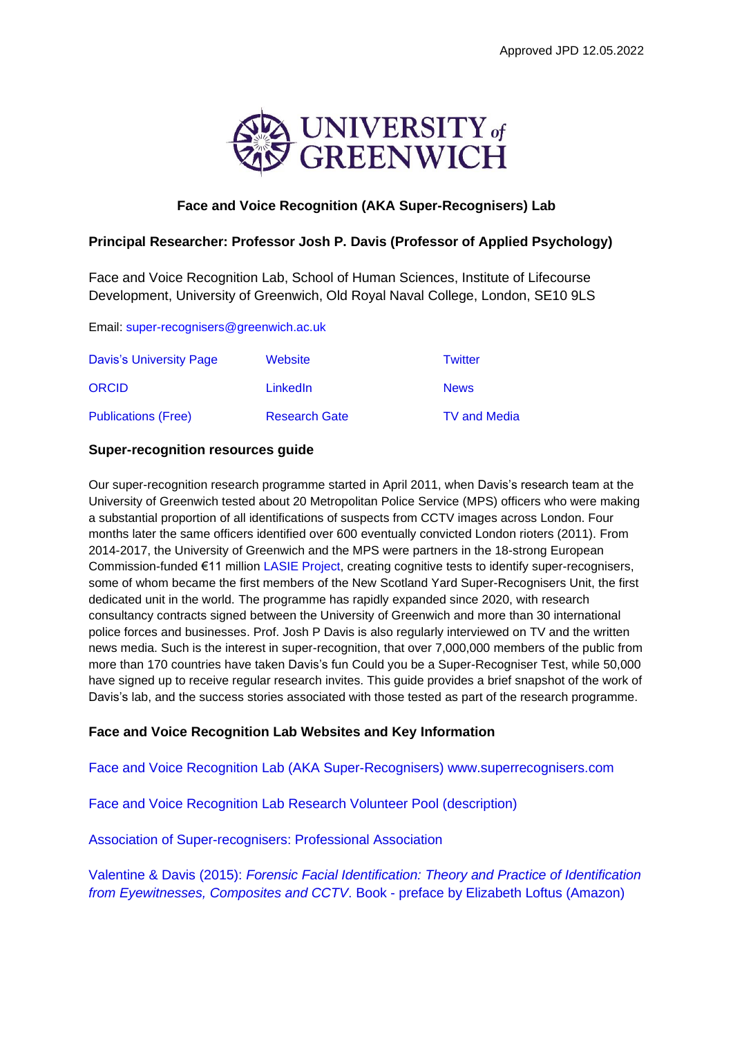

# **Face and Voice Recognition (AKA Super-Recognisers) Lab**

## **Principal Researcher: Professor Josh P. Davis (Professor of Applied Psychology)**

Face and Voice Recognition Lab, School of Human Sciences, Institute of Lifecourse Development, University of Greenwich, Old Royal Naval College, London, SE10 9LS

Email: [super-recognisers@greenwich.ac.uk](mailto:super-recognisers@greenwich.ac.uk) 

| Davis's University Page    | Website              | Twitter             |
|----------------------------|----------------------|---------------------|
| <b>ORCID</b>               | LinkedIn             | <b>News</b>         |
| <b>Publications (Free)</b> | <b>Research Gate</b> | <b>TV and Media</b> |

### **Super-recognition resources guide**

Our super-recognition research programme started in April 2011, when Davis's research team at the University of Greenwich tested about 20 Metropolitan Police Service (MPS) officers who were making a substantial proportion of all identifications of suspects from CCTV images across London. Four months later the same officers identified over 600 eventually convicted London rioters (2011). From 2014-2017, the University of Greenwich and the MPS were partners in the 18-strong European Commission-funded €11 million [LASIE Project,](https://cordis.europa.eu/project/id/607480/reporting) creating cognitive tests to identify super-recognisers, some of whom became the first members of the New Scotland Yard Super-Recognisers Unit, the first dedicated unit in the world. The programme has rapidly expanded since 2020, with research consultancy contracts signed between the University of Greenwich and more than 30 international police forces and businesses. Prof. Josh P Davis is also regularly interviewed on TV and the written news media. Such is the interest in super-recognition, that over 7,000,000 members of the public from more than 170 countries have taken Davis's fun Could you be a Super-Recogniser Test, while 50,000 have signed up to receive regular research invites. This guide provides a brief snapshot of the work of Davis's lab, and the success stories associated with those tested as part of the research programme.

### **Face and Voice Recognition Lab Websites and Key Information**

Face and Voice Recognition Lab (AKA Super-Recognisers) www.superrecognisers.com

[Face and Voice Recognition Lab Research Volunteer Pool](https://www.superrecognisers.com/post/how-do-your-scores-compare-greenwich-volunteer-pool) (description)

[Association of Super-recognisers: Professional Association](https://www.associationofsuperrecognisers.org/)

Valentine & Davis (2015): *[Forensic Facial Identification: Theory and Practice of Identification](https://www.amazon.co.uk/Forensic-Facial-Identification-Eyewitnesses-Composites/dp/1118469585)  [from Eyewitnesses, Composites and CCTV](https://www.amazon.co.uk/Forensic-Facial-Identification-Eyewitnesses-Composites/dp/1118469585)*. Book - preface by Elizabeth Loftus (Amazon)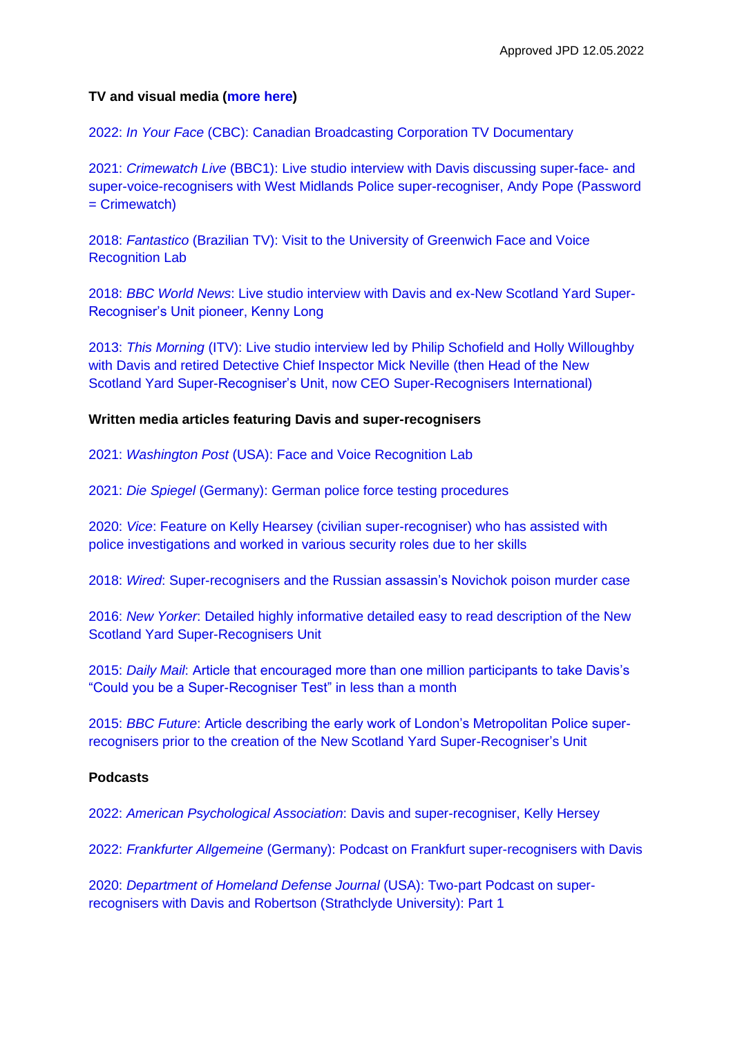#### **TV and visual media [\(more here\)](https://www.superrecognisers.com/media)**

2022: *In Your Face* [\(CBC\): Canadian Broadcasting Corporation TV Documentary](https://vimeo.com/664340666/f3918e49be) 

2021: *Crimewatch Live* [\(BBC1\): Live studio interview with Davis discussing super-face-](https://vimeo.com/528809417) and [super-voice-recognisers with West Midlands Police super-recogniser, Andy Pope \(Password](https://vimeo.com/528809417)   $=$  Crimewatch)

2018: *Fantastico* [\(Brazilian TV\): Visit to the University of Greenwich Face and Voice](https://g1.globo.com/fantastico/noticia/2018/12/02/scotland-yard-tem-equipe-de-investigadores-que-reconhecem-todos-os-rostos-de-uma-multidao.ghtml)  [Recognition Lab](https://g1.globo.com/fantastico/noticia/2018/12/02/scotland-yard-tem-equipe-de-investigadores-que-reconhecem-todos-os-rostos-de-uma-multidao.ghtml)

2018: *BBC World News*[: Live studio interview with Davis and ex-New Scotland Yard Super-](https://www.youtube.com/watch?v=fy1YlZ9PqJM)[Recogniser's Unit pioneer, Kenny Long](https://www.youtube.com/watch?v=fy1YlZ9PqJM)

2013: *This Morning* [\(ITV\): Live studio interview led by Philip Schofield and Holly Willoughby](http://youtu.be/THX0-CUmjWk)  [with Davis and retired Detective Chief Inspector Mick Neville \(then Head of the New](http://youtu.be/THX0-CUmjWk)  [Scotland Yard Super-Recogniser's Unit, now CEO Super-Recognisers International\)](http://youtu.be/THX0-CUmjWk)

#### **Written media articles featuring Davis and super-recognisers**

2021: *Washington Post* [\(USA\): Face and Voice Recognition Lab](https://www.washingtonpost.com/science/super-recognizer-facial-memory/2021/10/29/4cf80caa-2159-11ec-b3d6-8cdebe60d3e2_story.html)

2021: *Die Spiegel* [\(Germany\): German police force testing procedures](https://www.spiegel.de/wissenschaft/technik/bundespolizei-so-arbeiten-die-neuen-super-gesichtserkenner-a-460ab6bc-b37d-4466-aac0-3857a2f42ca4)

2020: *Vice*[: Feature on Kelly Hearsey \(civilian super-recogniser\) who has assisted with](https://www.vice.com/en/article/ep487p/how-police-are-using-super-recognizers-like-me-to-track-criminals)  [police investigations and worked in various security roles](https://www.vice.com/en/article/ep487p/how-police-are-using-super-recognizers-like-me-to-track-criminals) due to her skills

2018: *Wired*: Super-recognisers [and the Russian assassin's Novichok poison murder case](https://www.wired.co.uk/article/salisbury-novichok-poisoning-russia-suspects)

2016: *New Yorker*: Detailed highly informative [detailed easy to read description of the New](http://www.newyorker.com/magazine/2016/08/22/londons-super-recognizer-police-force)  [Scotland Yard Super-Recognisers Unit](http://www.newyorker.com/magazine/2016/08/22/londons-super-recognizer-police-force)

2015: *Daily Mail*: [Article that encouraged more than one million participants to take Davis's](http://www.dailymail.co.uk/sciencetech/article-3125173/Are-super-recogniser-test-one-elite-group-people-rarely-forgets-face.html)  ["Could you be a Super-Recogniser Test" in less than a month](http://www.dailymail.co.uk/sciencetech/article-3125173/Are-super-recogniser-test-one-elite-group-people-rarely-forgets-face.html) 

2015: *BBC Future*[: Article describing the early work of London's Metropolitan Police super](https://www.bbc.com/future/article/20150611-the-superpower-police-now-use-to-tackle-crime)[recognisers prior to the creation of the New Scotland Yard Super-Recogniser's Unit](https://www.bbc.com/future/article/20150611-the-superpower-police-now-use-to-tackle-crime)

## **Podcasts**

2022: *American Psychological Association*[: Davis and super-recogniser, Kelly Hersey](https://www.apa.org/news/podcasts/speaking-of-psychology/super-recognizers.html)

2022: *Frankfurter Allgemeine* [\(Germany\): Podcast on Frankfurt super-recognisers with Davis](https://www.faz.net/podcasts/f-a-z-podcast-fuer-deutschland/verdaechtige-in-fuenf-sekunden-erkennen-neue-spezialeinheit-super-recogniser-17804587.html)

2020: *[Department of Homeland Defense Journal](https://www.hdiac.org/podcast/super-recognizers-part-1-of-2/)* (USA): Two-part Podcast on super[recognisers with Davis and Robertson \(Strathclyde University\): Part 1](https://www.hdiac.org/podcast/super-recognizers-part-1-of-2/)